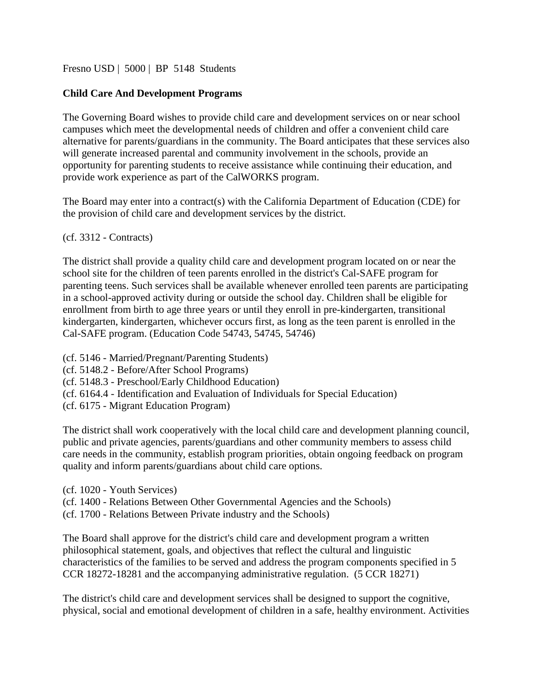## [Fresno USD](http://www.fresnounified.org/board/policies/Policies/fusd/loaddistrictpolicy/1050.htm) | [5000](http://www.fresnounified.org/board/policies/Policies/fusd/policycategorylist/1050/5.htm) | BP 5148 Students

# **Child Care And Development Programs**

The Governing Board wishes to provide child care and development services on or near school campuses which meet the developmental needs of children and offer a convenient child care alternative for parents/guardians in the community. The Board anticipates that these services also will generate increased parental and community involvement in the schools, provide an opportunity for parenting students to receive assistance while continuing their education, and provide work experience as part of the CalWORKS program.

The Board may enter into a contract(s) with the California Department of Education (CDE) for the provision of child care and development services by the district.

(cf. 3312 - Contracts)

The district shall provide a quality child care and development program located on or near the school site for the children of teen parents enrolled in the district's Cal-SAFE program for parenting teens. Such services shall be available whenever enrolled teen parents are participating in a school-approved activity during or outside the school day. Children shall be eligible for enrollment from birth to age three years or until they enroll in pre-kindergarten, transitional kindergarten, kindergarten, whichever occurs first, as long as the teen parent is enrolled in the Cal-SAFE program. (Education Code [54743,](http://www.fresnounified.org/board/policies/Policies/fusd/displaypolicy/226020/5.htm) [54745,](http://www.fresnounified.org/board/policies/Policies/fusd/displaypolicy/226022/5.htm) [54746\)](http://www.fresnounified.org/board/policies/Policies/fusd/displaypolicy/226023/5.htm)

(cf. [5146](http://www.fresnounified.org/board/policies/Policies/fusd/displaypolicy/144029/5.htm) - Married/Pregnant/Parenting Students)

(cf. 5148.2 - Before/After School Programs)

(cf. 5148.3 - Preschool/Early Childhood Education)

(cf. 6164.4 - Identification and Evaluation of Individuals for Special Education)

(cf. 6175 - Migrant Education Program)

The district shall work cooperatively with the local child care and development planning council, public and private agencies, parents/guardians and other community members to assess child care needs in the community, establish program priorities, obtain ongoing feedback on program quality and inform parents/guardians about child care options.

- (cf. 1020 Youth Services)
- (cf. [1400](http://www.fresnounified.org/board/policies/Policies/fusd/displaypolicy/144032/5.htm) Relations Between Other Governmental Agencies and the Schools)

(cf. [1700](http://www.fresnounified.org/board/policies/Policies/fusd/displaypolicy/143498/5.htm) - Relations Between Private industry and the Schools)

The Board shall approve for the district's child care and development program a written philosophical statement, goals, and objectives that reflect the cultural and linguistic characteristics of the families to be served and address the program components specified in 5 CCR 18272-18281 and the accompanying administrative regulation. (5 CCR 18271)

The district's child care and development services shall be designed to support the cognitive, physical, social and emotional development of children in a safe, healthy environment. Activities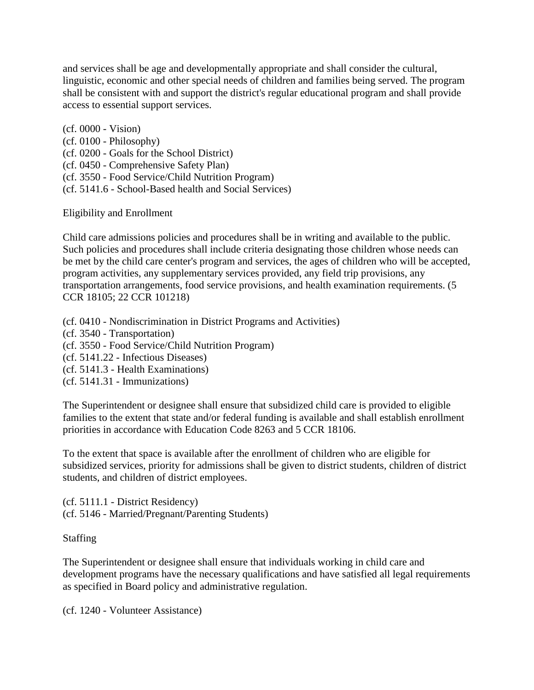and services shall be age and developmentally appropriate and shall consider the cultural, linguistic, economic and other special needs of children and families being served. The program shall be consistent with and support the district's regular educational program and shall provide access to essential support services.

(cf. 0000 - Vision) (cf. 0100 - Philosophy) (cf. 0200 - Goals for the School District) (cf. [0450](http://www.fresnounified.org/board/policies/Policies/fusd/displaypolicy/220946/5.htm) - Comprehensive Safety Plan) (cf. 3550 - Food Service/Child Nutrition Program) (cf. [5141.6](http://www.fresnounified.org/board/policies/Policies/fusd/displaypolicy/144158/5.htm) - School-Based health and Social Services)

Eligibility and Enrollment

Child care admissions policies and procedures shall be in writing and available to the public. Such policies and procedures shall include criteria designating those children whose needs can be met by the child care center's program and services, the ages of children who will be accepted, program activities, any supplementary services provided, any field trip provisions, any transportation arrangements, food service provisions, and health examination requirements. (5 CCR 18105; 22 CCR 101218)

(cf. 0410 - Nondiscrimination in District Programs and Activities)

- (cf. 3540 Transportation)
- (cf. 3550 Food Service/Child Nutrition Program)
- (cf. 5141.22 Infectious Diseases)
- (cf. 5141.3 Health Examinations)
- (cf. 5141.31 Immunizations)

The Superintendent or designee shall ensure that subsidized child care is provided to eligible families to the extent that state and/or federal funding is available and shall establish enrollment priorities in accordance with Education Code 8263 and 5 CCR 18106.

To the extent that space is available after the enrollment of children who are eligible for subsidized services, priority for admissions shall be given to district students, children of district students, and children of district employees.

(cf. 5111.1 - District Residency) (cf. 5146 - Married/Pregnant/Parenting Students)

# Staffing

The Superintendent or designee shall ensure that individuals working in child care and development programs have the necessary qualifications and have satisfied all legal requirements as specified in Board policy and administrative regulation.

(cf. [1240](http://www.fresnounified.org/board/policies/Policies/fusd/displaypolicy/368587/5.htm) - Volunteer Assistance)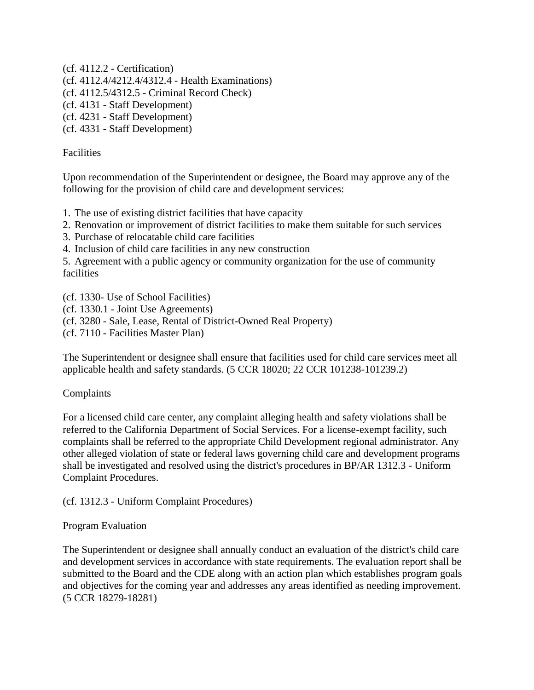(cf. [4112.2](http://www.fresnounified.org/board/policies/Policies/fusd/displaypolicy/144128/5.htm) - Certification) (cf. [4112.4/](http://www.fresnounified.org/board/policies/Policies/fusd/displaypolicy/143571/5.htm)[4212.4/](http://www.fresnounified.org/board/policies/Policies/fusd/displaypolicy/143796/5.htm)[4312.4](http://www.fresnounified.org/board/policies/Policies/fusd/displaypolicy/143797/5.htm) - Health Examinations) (cf. [4112.5/](http://www.fresnounified.org/board/policies/Policies/fusd/displaypolicy/144132/5.htm)[4312.5](http://www.fresnounified.org/board/policies/Policies/fusd/displaypolicy/327445/5.htm) - Criminal Record Check) (cf. 4131 - Staff Development) (cf. 4231 - Staff Development) (cf. 4331 - Staff Development)

## **Facilities**

Upon recommendation of the Superintendent or designee, the Board may approve any of the following for the provision of child care and development services:

1. The use of existing district facilities that have capacity

- 2. Renovation or improvement of district facilities to make them suitable for such services
- 3. Purchase of relocatable child care facilities
- 4. Inclusion of child care facilities in any new construction

5. Agreement with a public agency or community organization for the use of community facilities

(cf. [1330-](http://www.fresnounified.org/board/policies/Policies/fusd/displaypolicy/143975/5.htm) Use of School Facilities)

- (cf. 1330.1 Joint Use Agreements)
- (cf. [3280](http://www.fresnounified.org/board/policies/Policies/fusd/displaypolicy/144100/5.htm) Sale, Lease, Rental of District-Owned Real Property)
- (cf. [7110](http://www.fresnounified.org/board/policies/Policies/fusd/displaypolicy/222630/5.htm) Facilities Master Plan)

The Superintendent or designee shall ensure that facilities used for child care services meet all applicable health and safety standards. (5 CCR 18020; 22 CCR 101238-101239.2)

### Complaints

For a licensed child care center, any complaint alleging health and safety violations shall be referred to the California Department of Social Services. For a license-exempt facility, such complaints shall be referred to the appropriate Child Development regional administrator. Any other alleged violation of state or federal laws governing child care and development programs shall be investigated and resolved using the district's procedures in BP/AR 1312.3 - Uniform Complaint Procedures.

(cf. 1312.3 - Uniform Complaint Procedures)

### Program Evaluation

The Superintendent or designee shall annually conduct an evaluation of the district's child care and development services in accordance with state requirements. The evaluation report shall be submitted to the Board and the CDE along with an action plan which establishes program goals and objectives for the coming year and addresses any areas identified as needing improvement. (5 CCR 18279-18281)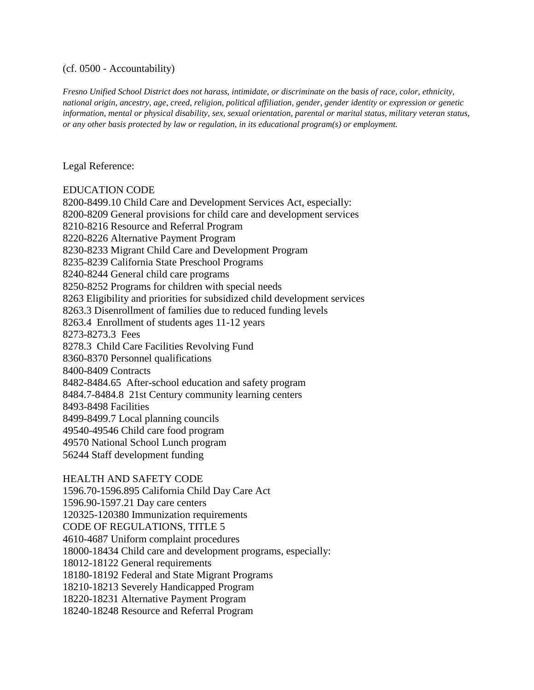#### (cf. 0500 - Accountability)

*Fresno Unified School District does not harass, intimidate, or discriminate on the basis of race, color, ethnicity, national origin, ancestry, age, creed, religion, political affiliation, gender, gender identity or expression or genetic information, mental or physical disability, sex, sexual orientation, parental or marital status, military veteran status, or any other basis protected by law or regulation, in its educational program(s) or employment.*

#### Legal Reference:

#### EDUCATION CODE

[8200-](http://www.fresnounified.org/board/policies/Policies/fusd/displaypolicy/129304/5.htm)8499.10 Child Care and Development Services Act, especially: [8200](http://www.fresnounified.org/board/policies/Policies/fusd/displaypolicy/129304/5.htm)[-8209](http://www.fresnounified.org/board/policies/Policies/fusd/displaypolicy/129321/5.htm) General provisions for child care and development services [8210](http://www.fresnounified.org/board/policies/Policies/fusd/displaypolicy/129322/5.htm)[-8216](http://www.fresnounified.org/board/policies/Policies/fusd/displaypolicy/137380/5.htm) Resource and Referral Program [8220](http://www.fresnounified.org/board/policies/Policies/fusd/displaypolicy/129329/5.htm)[-8226](http://www.fresnounified.org/board/policies/Policies/fusd/displaypolicy/210227/5.htm) Alternative Payment Program [8230](http://www.fresnounified.org/board/policies/Policies/fusd/displaypolicy/129339/5.htm)[-8233](http://www.fresnounified.org/board/policies/Policies/fusd/displaypolicy/129342/5.htm) Migrant Child Care and Development Program [8235-](http://www.fresnounified.org/board/policies/Policies/fusd/displaypolicy/129344/5.htm)8239 California State Preschool Programs [8240](http://www.fresnounified.org/board/policies/Policies/fusd/displaypolicy/129345/5.htm)[-8244](http://www.fresnounified.org/board/policies/Policies/fusd/displaypolicy/136117/5.htm) General child care programs [8250](http://www.fresnounified.org/board/policies/Policies/fusd/displaypolicy/129348/5.htm)[-8252](http://www.fresnounified.org/board/policies/Policies/fusd/displaypolicy/129351/5.htm) Programs for children with special needs [8263](http://www.fresnounified.org/board/policies/Policies/fusd/displaypolicy/137932/5.htm) Eligibility and priorities for subsidized child development services 8263.3 Disenrollment of families due to reduced funding levels 8263.4 Enrollment of students ages 11-12 years 8273-8273.3 Fees 8278.3 Child Care Facilities Revolving Fund [8360](http://www.fresnounified.org/board/policies/Policies/fusd/displaypolicy/136118/5.htm)[-8370](http://www.fresnounified.org/board/policies/Policies/fusd/displaypolicy/129413/5.htm) Personnel qualifications [8400](http://www.fresnounified.org/board/policies/Policies/fusd/displaypolicy/129422/5.htm)[-8409](http://www.fresnounified.org/board/policies/Policies/fusd/displaypolicy/129433/5.htm) Contracts 8482-8484.65 After-school education and safety program 8484.7-8484.8 21st Century community learning centers [8493](http://www.fresnounified.org/board/policies/Policies/fusd/displaypolicy/129479/5.htm)[-8498](http://www.fresnounified.org/board/policies/Policies/fusd/displaypolicy/129482/5.htm) Facilities [8499](http://www.fresnounified.org/board/policies/Policies/fusd/displaypolicy/137390/5.htm)[-8499.7](http://www.fresnounified.org/board/policies/Policies/fusd/displaypolicy/137392/5.htm) Local planning councils 49540-49546 Child care food program 49570 National School Lunch program

[56244](http://www.fresnounified.org/board/policies/Policies/fusd/displaypolicy/133448/5.htm) Staff development funding

HEALTH AND SAFETY CODE [1596.70](http://www.fresnounified.org/board/policies/Policies/fusd/displaypolicy/150071/5.htm)[-1596.895](http://www.fresnounified.org/board/policies/Policies/fusd/displaypolicy/150159/5.htm) California Child Day Care Act [1596.90](http://www.fresnounified.org/board/policies/Policies/fusd/displaypolicy/150160/5.htm)[-1597.21](http://www.fresnounified.org/board/policies/Policies/fusd/displaypolicy/150182/5.htm) Day care centers [120325](http://www.fresnounified.org/board/policies/Policies/fusd/displaypolicy/149796/5.htm)[-120380](http://www.fresnounified.org/board/policies/Policies/fusd/displaypolicy/150062/5.htm) Immunization requirements CODE OF REGULATIONS, TITLE 5 4610-4687 Uniform complaint procedures 18000-18434 Child care and development programs, especially: 18012-18122 General requirements [18180](http://www.fresnounified.org/board/policies/Policies/fusd/displaypolicy/187701/5.htm)[-18192](http://www.fresnounified.org/board/policies/Policies/fusd/displaypolicy/187708/5.htm) Federal and State Migrant Programs [18210](http://www.fresnounified.org/board/policies/Policies/fusd/displaypolicy/187716/5.htm)[-18213](http://www.fresnounified.org/board/policies/Policies/fusd/displaypolicy/187719/5.htm) Severely Handicapped Program [18220](http://www.fresnounified.org/board/policies/Policies/fusd/displaypolicy/187720/5.htm)[-18231](http://www.fresnounified.org/board/policies/Policies/fusd/displaypolicy/187730/5.htm) Alternative Payment Program [18240](http://www.fresnounified.org/board/policies/Policies/fusd/displaypolicy/187731/5.htm)[-18248](http://www.fresnounified.org/board/policies/Policies/fusd/displaypolicy/187739/5.htm) Resource and Referral Program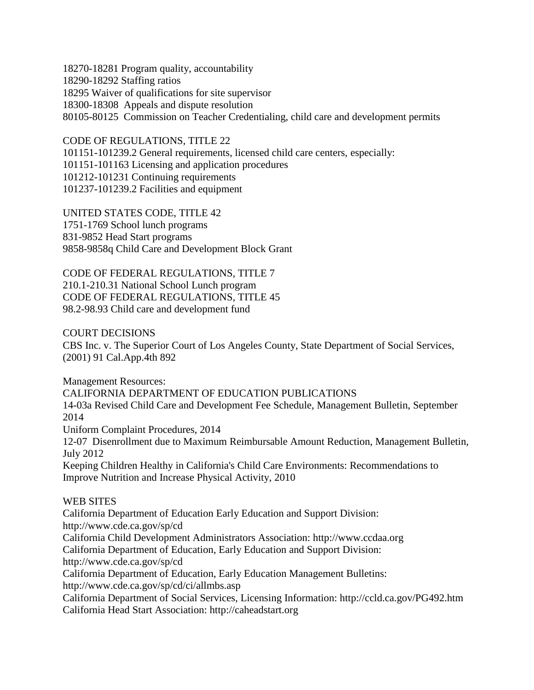18270-18281 Program quality, accountability [18290](http://www.fresnounified.org/board/policies/Policies/fusd/displaypolicy/187750/5.htm)[-18292](http://www.fresnounified.org/board/policies/Policies/fusd/displaypolicy/187752/5.htm) Staffing ratios [18295](http://www.fresnounified.org/board/policies/Policies/fusd/displaypolicy/187753/5.htm) Waiver of qualifications for site supervisor 18300-18308 Appeals and dispute resolution 80105-80125 Commission on Teacher Credentialing, child care and development permits

CODE OF REGULATIONS, TITLE 22 [-101239.2](http://www.fresnounified.org/board/policies/Policies/fusd/displaypolicy/368007/5.htm) General requirements, licensed child care centers, especially: [-101163](http://www.fresnounified.org/board/policies/Policies/fusd/displaypolicy/293833/5.htm) Licensing and application procedures [-101231](http://www.fresnounified.org/board/policies/Policies/fusd/displaypolicy/293880/5.htm) Continuing requirements [-101239.2](http://www.fresnounified.org/board/policies/Policies/fusd/displaypolicy/368007/5.htm) Facilities and equipment

UNITED STATES CODE, TITLE 42 1751-1769 School lunch programs [831](http://www.fresnounified.org/board/policies/Policies/fusd/displaypolicy/192036/5.htm)[-9852](http://www.fresnounified.org/board/policies/Policies/fusd/displaypolicy/192058/5.htm) Head Start programs [9858](http://www.fresnounified.org/board/policies/Policies/fusd/displaypolicy/192019/5.htm)[-9858q](http://www.fresnounified.org/board/policies/Policies/fusd/displaypolicy/192035/5.htm) Child Care and Development Block Grant

CODE OF FEDERAL REGULATIONS, TITLE 7 210.1-210.31 National School Lunch program CODE OF FEDERAL REGULATIONS, TITLE 45 98.2-98.93 Child care and development fund

COURT DECISIONS

CBS Inc. v. The Superior Court of Los Angeles County, State Department of Social Services, (2001) 91 Cal.App.4th 892

Management Resources:

CALIFORNIA DEPARTMENT OF EDUCATION PUBLICATIONS 14-03a Revised Child Care and Development Fee Schedule, Management Bulletin, September

2014

Uniform Complaint Procedures, 2014

12-07 Disenrollment due to Maximum Reimbursable Amount Reduction, Management Bulletin, July 2012

Keeping Children Healthy in California's Child Care Environments: Recommendations to Improve Nutrition and Increase Physical Activity, 2010

# WEB SITES

California Department of Education Early Education and Support Division: <http://www.cde.ca.gov/sp/cd> California Child Development Administrators Association: http://www.ccdaa.org California Department of Education, Early Education and Support Division: http://www.cde.ca.gov/sp/cd California Department of Education, Early Education Management Bulletins: http://www.cde.ca.gov/sp/cd/ci/allmbs.asp California Department of Social Services, Licensing Information: http://ccld.ca.gov/PG492.htm California Head Start Association: http://caheadstart.org